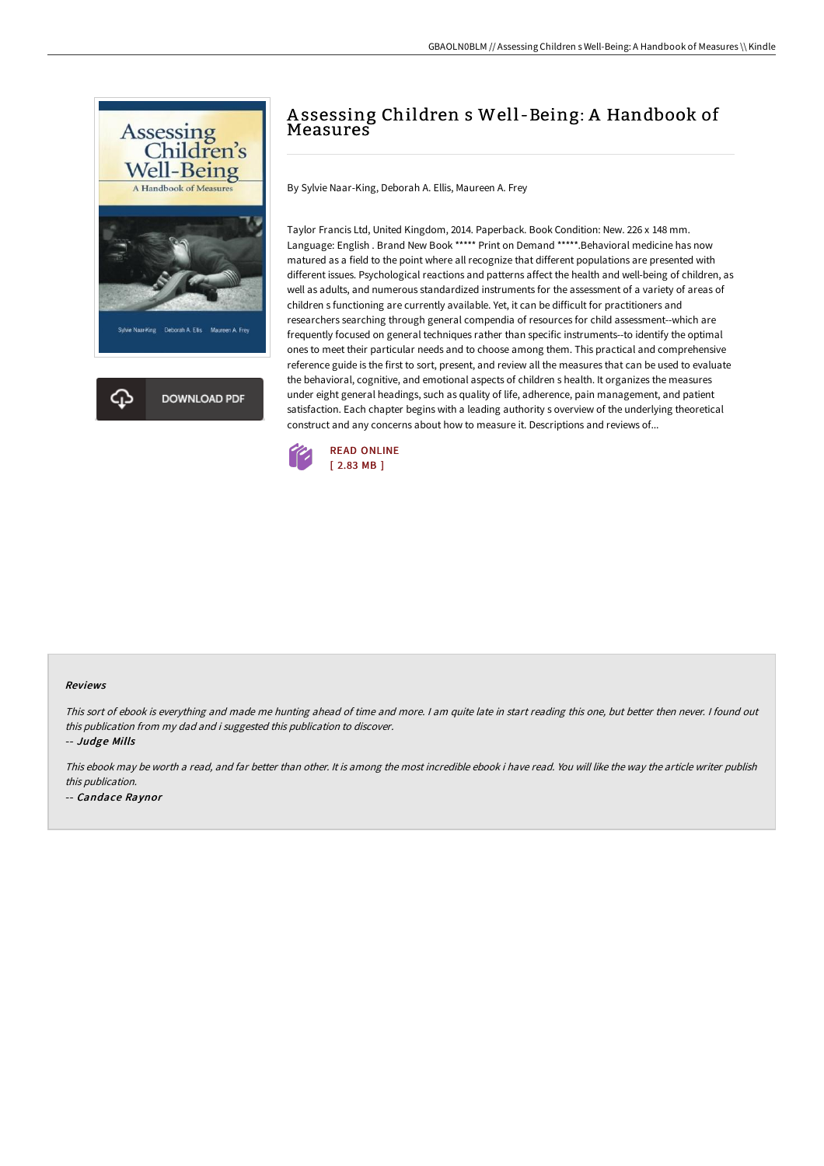



# A ssessing Children s Well -Being: A Handbook of **Measures**

By Sylvie Naar-King, Deborah A. Ellis, Maureen A. Frey

Taylor Francis Ltd, United Kingdom, 2014. Paperback. Book Condition: New. 226 x 148 mm. Language: English . Brand New Book \*\*\*\*\* Print on Demand \*\*\*\*\*.Behavioral medicine has now matured as a field to the point where all recognize that different populations are presented with different issues. Psychological reactions and patterns affect the health and well-being of children, as well as adults, and numerous standardized instruments for the assessment of a variety of areas of children s functioning are currently available. Yet, it can be difficult for practitioners and researchers searching through general compendia of resources for child assessment--which are frequently focused on general techniques rather than specific instruments--to identify the optimal ones to meet their particular needs and to choose among them. This practical and comprehensive reference guide is the first to sort, present, and review all the measures that can be used to evaluate the behavioral, cognitive, and emotional aspects of children s health. It organizes the measures under eight general headings, such as quality of life, adherence, pain management, and patient satisfaction. Each chapter begins with a leading authority s overview of the underlying theoretical construct and any concerns about how to measure it. Descriptions and reviews of...



#### Reviews

This sort of ebook is everything and made me hunting ahead of time and more. <sup>I</sup> am quite late in start reading this one, but better then never. <sup>I</sup> found out this publication from my dad and i suggested this publication to discover.

-- Judge Mills

This ebook may be worth <sup>a</sup> read, and far better than other. It is among the most incredible ebook i have read. You will like the way the article writer publish this publication.

-- Candace Raynor